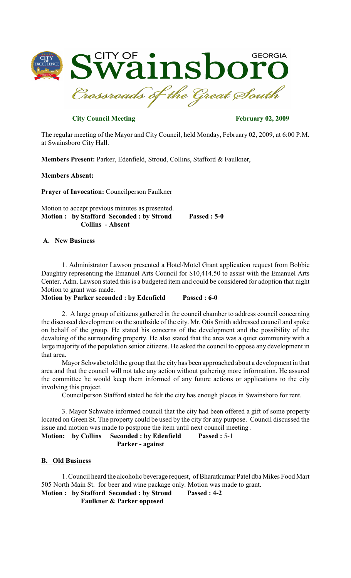

# **City Council Meeting February 02, 2009**

The regular meeting of the Mayor and City Council, held Monday, February 02, 2009, at 6:00 P.M. at Swainsboro City Hall.

**Members Present:** Parker, Edenfield, Stroud, Collins, Stafford & Faulkner,

#### **Members Absent:**

**Prayer of Invocation:** Councilperson Faulkner

Motion to accept previous minutes as presented. **Motion : by Stafford Seconded : by Stroud Passed : 5-0 Collins - Absent**

### **A. New Business**

1. Administrator Lawson presented a Hotel/Motel Grant application request from Bobbie Daughtry representing the Emanuel Arts Council for \$10,414.50 to assist with the Emanuel Arts Center. Adm. Lawson stated this is a budgeted item and could be considered for adoption that night Motion to grant was made.

**Motion by Parker seconded : by Edenfield Passed : 6-0**

2. A large group of citizens gathered in the council chamber to address council concerning the discussed development on the southside of the city. Mr. Otis Smith addressed council and spoke on behalf of the group. He stated his concerns of the development and the possibility of the devaluing of the surrounding property. He also stated that the area was a quiet community with a large majority of the population senior citizens. He asked the council to oppose any development in that area.

Mayor Schwabe told the group that the city has been approached about a development in that area and that the council will not take any action without gathering more information. He assured the committee he would keep them informed of any future actions or applications to the city involving this project.

Councilperson Stafford stated he felt the city has enough places in Swainsboro for rent.

3. Mayor Schwabe informed council that the city had been offered a gift of some property located on Green St. The property could be used by the city for any purpose. Council discussed the issue and motion was made to postpone the item until next council meeting .

**Motion:** by Collins Seconded : by Edenfield Passed : 5-1 **Parker - against**

# **B. Old Business**

1. Council heard the alcoholic beverage request, of Bharatkumar Patel dba Mikes Food Mart 505 North Main St. for beer and wine package only. Motion was made to grant.

**Motion : by Stafford Seconded : by Stroud Passed : 4-2 Faulkner & Parker opposed**